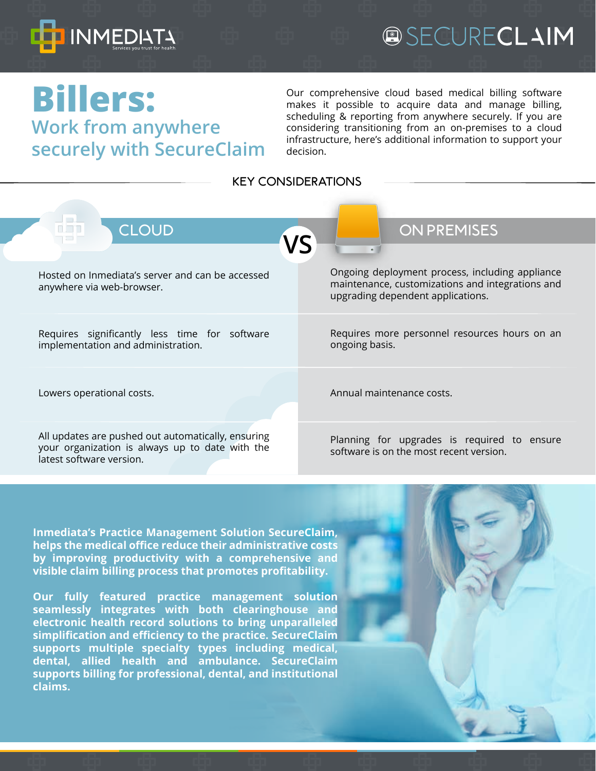

## **@SECURECLAIM**

### **Billers: Work from anywhere securely with SecureClaim**

Our comprehensive cloud based medical billing software makes it possible to acquire data and manage billing, scheduling & reporting from anywhere securely. If you are considering transitioning from an on-premises to a cloud infrastructure, here's additional information to support your decision.

**KEY CONSIDERATIONS**

| <b>CLOUD</b><br>n ma<br>VS                                                                                                        | <b>ON PREMISES</b>                                                                                                                       |
|-----------------------------------------------------------------------------------------------------------------------------------|------------------------------------------------------------------------------------------------------------------------------------------|
|                                                                                                                                   |                                                                                                                                          |
| Hosted on Inmediata's server and can be accessed<br>anywhere via web-browser.                                                     | Ongoing deployment process, including appliance<br>maintenance, customizations and integrations and<br>upgrading dependent applications. |
| Requires significantly less time for software<br>implementation and administration.                                               | Requires more personnel resources hours on an<br>ongoing basis.                                                                          |
| Lowers operational costs.                                                                                                         | Annual maintenance costs.                                                                                                                |
| All updates are pushed out automatically, ensuring<br>your organization is always up to date with the<br>latest software version. | Planning for upgrades is required to ensure<br>software is on the most recent version.                                                   |
|                                                                                                                                   |                                                                                                                                          |
|                                                                                                                                   |                                                                                                                                          |

**Inmediata's Practice Management Solution SecureClaim, helps the medical office reduce their administrative costs by improving productivity with a comprehensive and visible claim billing process that promotes profitability.**

**Our fully featured practice management solution seamlessly integrates with both clearinghouse and electronic health record solutions to bring unparalleled simplification and efficiency to the practice. SecureClaim supports multiple specialty types including medical, dental, allied health and ambulance. SecureClaim supports billing for professional, dental, and institutional claims.**